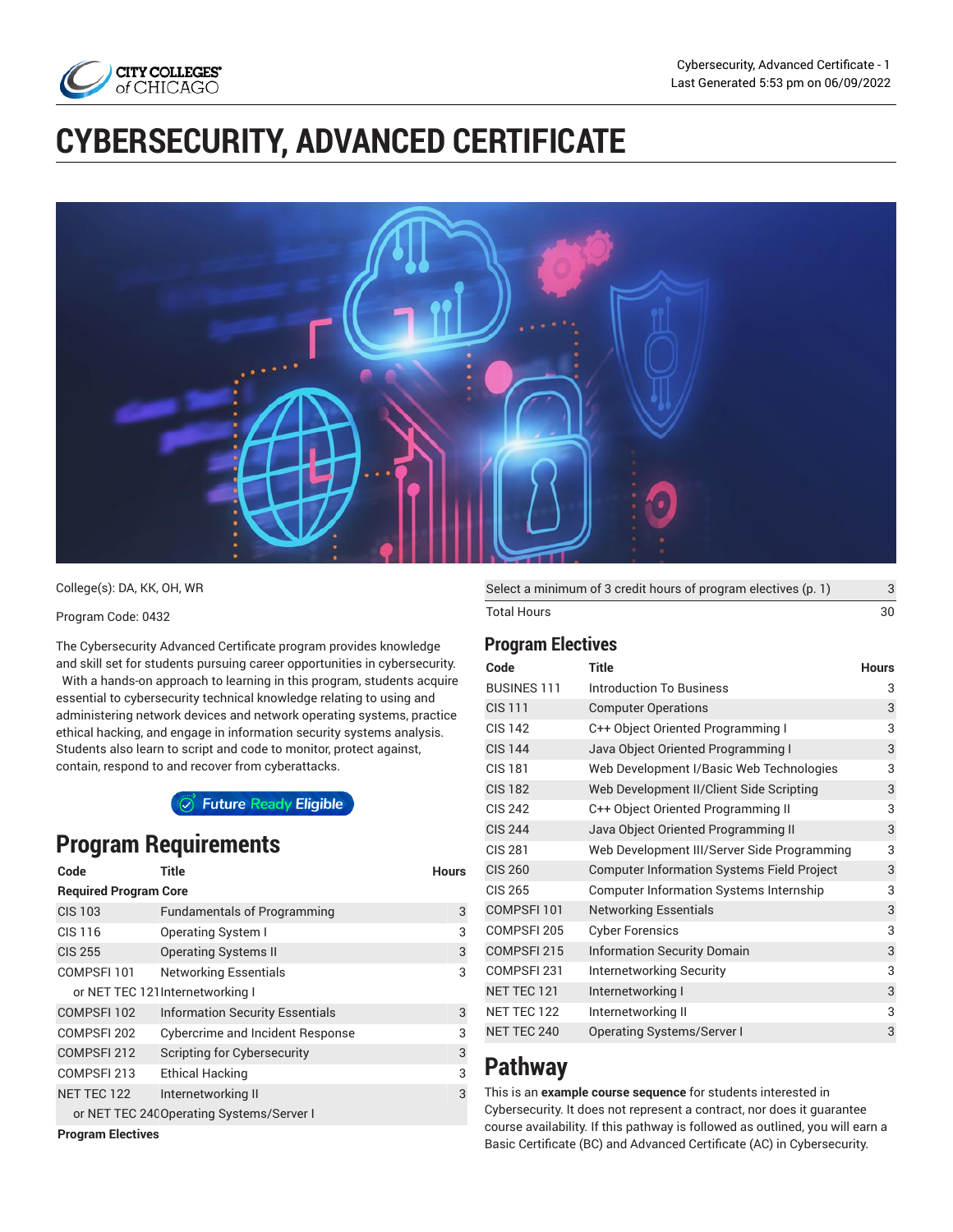

# **CYBERSECURITY, ADVANCED CERTIFICATE**



College(s): DA, KK, OH, WR

#### Program Code: 0432

The Cybersecurity Advanced Certificate program provides knowledge and skill set for students pursuing career opportunities in cybersecurity. With a hands-on approach to learning in this program, students acquire essential to cybersecurity technical knowledge relating to using and administering network devices and network operating systems, practice ethical hacking, and engage in information security systems analysis. Students also learn to script and code to monitor, protect against, contain, respond to and recover from cyberattacks.

○ Future Ready Eligible

# **Program Requirements**

| Code                         | Title                                     | <b>Hours</b> |
|------------------------------|-------------------------------------------|--------------|
| <b>Required Program Core</b> |                                           |              |
| <b>CIS 103</b>               | <b>Fundamentals of Programming</b>        | 3            |
| <b>CIS 116</b>               | <b>Operating System I</b>                 | 3            |
| <b>CIS 255</b>               | <b>Operating Systems II</b>               | 3            |
| COMPSFI 101                  | <b>Networking Essentials</b>              | 3            |
|                              | or NET TEC 121 Internetworking I          |              |
| COMPSFI 102                  | <b>Information Security Essentials</b>    | 3            |
| COMPSFI 202                  | <b>Cybercrime and Incident Response</b>   | 3            |
| COMPSFI 212                  | Scripting for Cybersecurity               | 3            |
| COMPSFI 213                  | Ethical Hacking                           | 3            |
| NET TEC 122                  | Internetworking II                        | 3            |
|                              | or NET TEC 240 Operating Systems/Server I |              |
| -- -                         |                                           |              |

**Program Electives**

| Select a minimum of 3 credit hours of program electives (p. 1) |    |
|----------------------------------------------------------------|----|
| Total Hours                                                    | 30 |

#### <span id="page-0-0"></span>**Program Electives**

| Code               | <b>Title</b>                                      | <b>Hours</b> |
|--------------------|---------------------------------------------------|--------------|
| <b>BUSINES 111</b> | <b>Introduction To Business</b>                   | 3            |
| <b>CIS 111</b>     | <b>Computer Operations</b>                        | 3            |
| <b>CIS 142</b>     | C++ Object Oriented Programming I                 | 3            |
| <b>CIS 144</b>     | Java Object Oriented Programming I                | 3            |
| <b>CIS 181</b>     | Web Development I/Basic Web Technologies          | 3            |
| <b>CIS 182</b>     | Web Development II/Client Side Scripting          | 3            |
| <b>CIS 242</b>     | C++ Object Oriented Programming II                | 3            |
| <b>CIS 244</b>     | Java Object Oriented Programming II               | 3            |
| <b>CIS 281</b>     | Web Development III/Server Side Programming       | 3            |
| <b>CIS 260</b>     | <b>Computer Information Systems Field Project</b> | 3            |
| <b>CIS 265</b>     | Computer Information Systems Internship           | 3            |
| COMPSFI 101        | <b>Networking Essentials</b>                      | 3            |
| COMPSFI 205        | <b>Cyber Forensics</b>                            | 3            |
| COMPSFI 215        | <b>Information Security Domain</b>                | 3            |
| COMPSFI 231        | <b>Internetworking Security</b>                   | 3            |
| NET TEC 121        | Internetworking I                                 | 3            |
| NET TEC 122        | Internetworking II                                | 3            |
| <b>NET TEC 240</b> | Operating Systems/Server I                        | 3            |
|                    |                                                   |              |

# **Pathway**

This is an **example course sequence** for students interested in Cybersecurity. It does not represent a contract, nor does it guarantee course availability. If this pathway is followed as outlined, you will earn a Basic Certificate (BC) and Advanced Certificate (AC) in Cybersecurity.